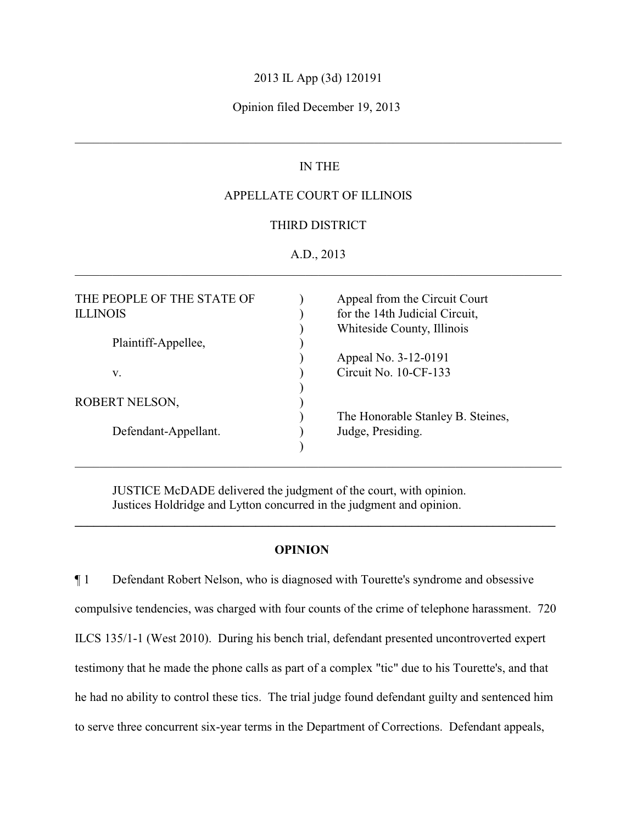#### 2013 IL App (3d) 120191

#### Opinion filed December 19, 2013

## IN THE

\_\_\_\_\_\_\_\_\_\_\_\_\_\_\_\_\_\_\_\_\_\_\_\_\_\_\_\_\_\_\_\_\_\_\_\_\_\_\_\_\_\_\_\_\_\_\_\_\_\_\_\_\_\_\_\_\_\_\_\_\_\_\_\_\_\_\_\_\_\_\_\_\_\_\_\_\_\_

## APPELLATE COURT OF ILLINOIS

#### THIRD DISTRICT

#### A.D., 2013 \_\_\_\_\_\_\_\_\_\_\_\_\_\_\_\_\_\_\_\_\_\_\_\_\_\_\_\_\_\_\_\_\_\_\_\_\_\_\_\_\_\_\_\_\_\_\_\_\_\_\_\_\_\_\_\_\_\_\_\_\_\_\_\_\_\_\_\_\_\_\_\_\_\_\_\_\_\_

| THE PEOPLE OF THE STATE OF<br><b>ILLINOIS</b> | Appeal from the Circuit Court<br>for the 14th Judicial Circuit,<br>Whiteside County, Illinois |
|-----------------------------------------------|-----------------------------------------------------------------------------------------------|
| Plaintiff-Appellee,                           |                                                                                               |
|                                               | Appeal No. 3-12-0191                                                                          |
| v.                                            | Circuit No. 10-CF-133                                                                         |
|                                               |                                                                                               |
| ROBERT NELSON,                                |                                                                                               |
|                                               | The Honorable Stanley B. Steines,                                                             |
| Defendant-Appellant.                          | Judge, Presiding.                                                                             |
|                                               |                                                                                               |
|                                               |                                                                                               |

JUSTICE McDADE delivered the judgment of the court, with opinion. Justices Holdridge and Lytton concurred in the judgment and opinion.

#### **OPINION**

**\_\_\_\_\_\_\_\_\_\_\_\_\_\_\_\_\_\_\_\_\_\_\_\_\_\_\_\_\_\_\_\_\_\_\_\_\_\_\_\_\_\_\_\_\_\_\_\_\_\_\_\_\_\_\_\_\_\_\_\_\_\_\_\_\_\_\_\_\_\_\_\_\_\_\_\_\_**

¶ 1 Defendant Robert Nelson, who is diagnosed with Tourette's syndrome and obsessive compulsive tendencies, was charged with four counts of the crime of telephone harassment. 720 ILCS 135/1-1 (West 2010). During his bench trial, defendant presented uncontroverted expert testimony that he made the phone calls as part of a complex "tic" due to his Tourette's, and that he had no ability to control these tics. The trial judge found defendant guilty and sentenced him to serve three concurrent six-year terms in the Department of Corrections. Defendant appeals,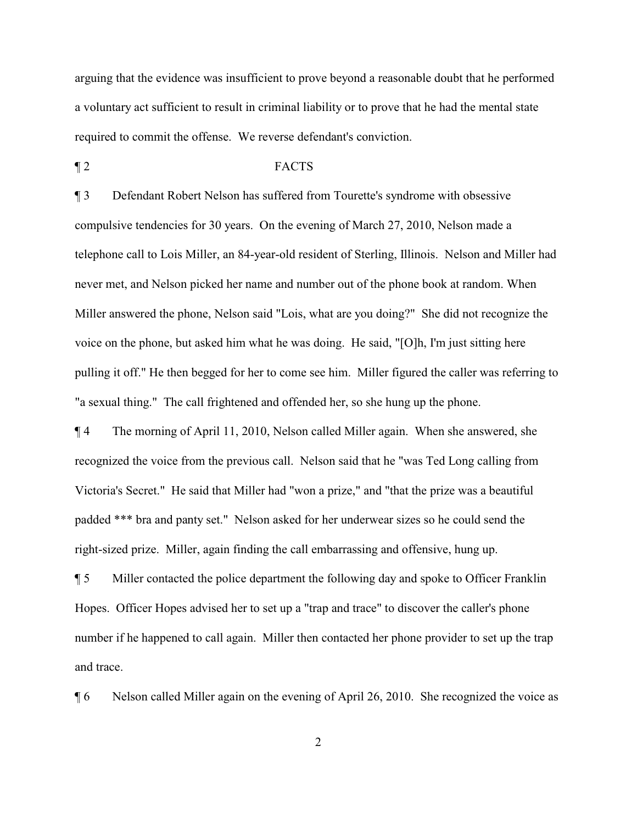arguing that the evidence was insufficient to prove beyond a reasonable doubt that he performed a voluntary act sufficient to result in criminal liability or to prove that he had the mental state required to commit the offense. We reverse defendant's conviction.

#### ¶ 2 FACTS

¶ 3 Defendant Robert Nelson has suffered from Tourette's syndrome with obsessive compulsive tendencies for 30 years. On the evening of March 27, 2010, Nelson made a telephone call to Lois Miller, an 84-year-old resident of Sterling, Illinois. Nelson and Miller had never met, and Nelson picked her name and number out of the phone book at random. When Miller answered the phone, Nelson said "Lois, what are you doing?" She did not recognize the voice on the phone, but asked him what he was doing. He said, "[O]h, I'm just sitting here pulling it off." He then begged for her to come see him. Miller figured the caller was referring to "a sexual thing." The call frightened and offended her, so she hung up the phone.

¶ 4 The morning of April 11, 2010, Nelson called Miller again. When she answered, she recognized the voice from the previous call. Nelson said that he "was Ted Long calling from Victoria's Secret." He said that Miller had "won a prize," and "that the prize was a beautiful padded \*\*\* bra and panty set." Nelson asked for her underwear sizes so he could send the right-sized prize. Miller, again finding the call embarrassing and offensive, hung up.

¶ 5 Miller contacted the police department the following day and spoke to Officer Franklin Hopes. Officer Hopes advised her to set up a "trap and trace" to discover the caller's phone number if he happened to call again. Miller then contacted her phone provider to set up the trap and trace.

¶ 6 Nelson called Miller again on the evening of April 26, 2010. She recognized the voice as

2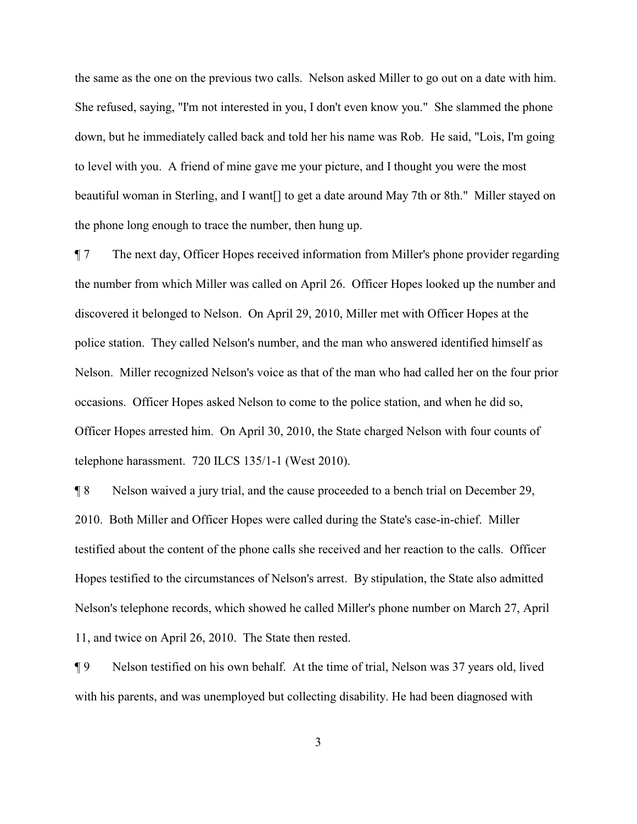the same as the one on the previous two calls. Nelson asked Miller to go out on a date with him. She refused, saying, "I'm not interested in you, I don't even know you." She slammed the phone down, but he immediately called back and told her his name was Rob. He said, "Lois, I'm going to level with you. A friend of mine gave me your picture, and I thought you were the most beautiful woman in Sterling, and I want[] to get a date around May 7th or 8th." Miller stayed on the phone long enough to trace the number, then hung up.

¶ 7 The next day, Officer Hopes received information from Miller's phone provider regarding the number from which Miller was called on April 26. Officer Hopes looked up the number and discovered it belonged to Nelson. On April 29, 2010, Miller met with Officer Hopes at the police station. They called Nelson's number, and the man who answered identified himself as Nelson. Miller recognized Nelson's voice as that of the man who had called her on the four prior occasions. Officer Hopes asked Nelson to come to the police station, and when he did so, Officer Hopes arrested him. On April 30, 2010, the State charged Nelson with four counts of telephone harassment. 720 ILCS 135/1-1 (West 2010).

¶ 8 Nelson waived a jury trial, and the cause proceeded to a bench trial on December 29, 2010. Both Miller and Officer Hopes were called during the State's case-in-chief. Miller testified about the content of the phone calls she received and her reaction to the calls. Officer Hopes testified to the circumstances of Nelson's arrest. By stipulation, the State also admitted Nelson's telephone records, which showed he called Miller's phone number on March 27, April 11, and twice on April 26, 2010. The State then rested.

¶ 9 Nelson testified on his own behalf. At the time of trial, Nelson was 37 years old, lived with his parents, and was unemployed but collecting disability. He had been diagnosed with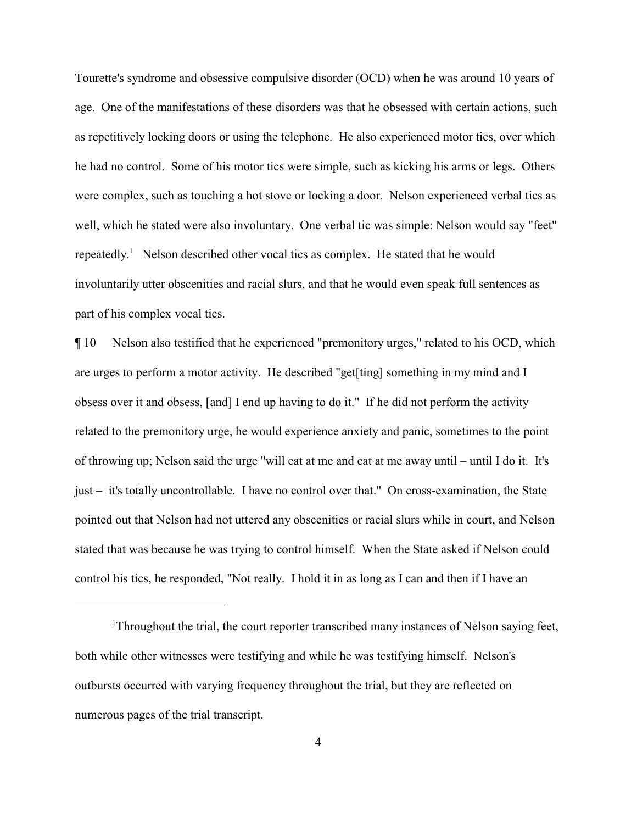Tourette's syndrome and obsessive compulsive disorder (OCD) when he was around 10 years of age. One of the manifestations of these disorders was that he obsessed with certain actions, such as repetitively locking doors or using the telephone. He also experienced motor tics, over which he had no control. Some of his motor tics were simple, such as kicking his arms or legs. Others were complex, such as touching a hot stove or locking a door. Nelson experienced verbal tics as well, which he stated were also involuntary. One verbal tic was simple: Nelson would say "feet" repeatedly.<sup>1</sup> Nelson described other vocal tics as complex. He stated that he would involuntarily utter obscenities and racial slurs, and that he would even speak full sentences as part of his complex vocal tics.

¶ 10 Nelson also testified that he experienced "premonitory urges," related to his OCD, which are urges to perform a motor activity. He described "get[ting] something in my mind and I obsess over it and obsess, [and] I end up having to do it." If he did not perform the activity related to the premonitory urge, he would experience anxiety and panic, sometimes to the point of throwing up; Nelson said the urge "will eat at me and eat at me away until – until I do it. It's just – it's totally uncontrollable. I have no control over that." On cross-examination, the State pointed out that Nelson had not uttered any obscenities or racial slurs while in court, and Nelson stated that was because he was trying to control himself. When the State asked if Nelson could control his tics, he responded, "Not really. I hold it in as long as I can and then if I have an

Throughout the trial, the court reporter transcribed many instances of Nelson saying feet, both while other witnesses were testifying and while he was testifying himself. Nelson's outbursts occurred with varying frequency throughout the trial, but they are reflected on numerous pages of the trial transcript.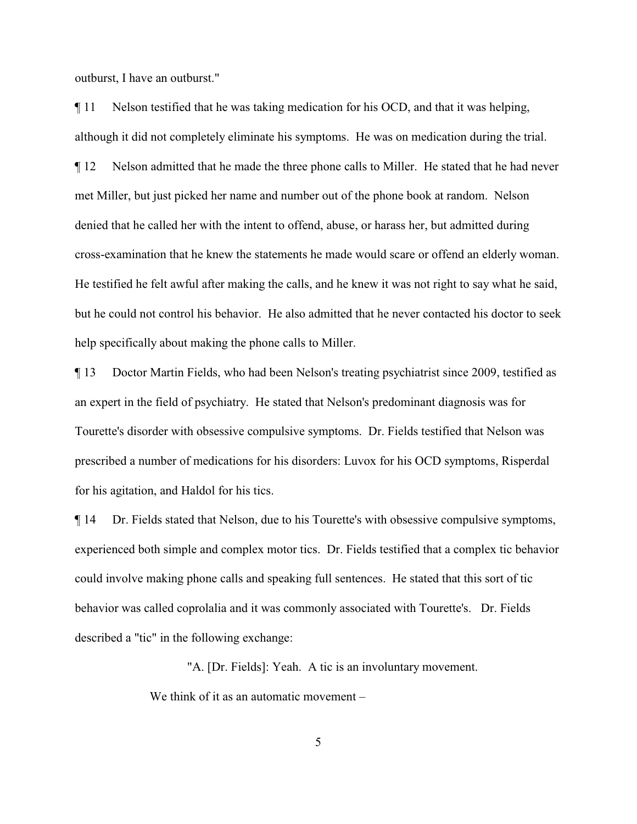outburst, I have an outburst."

¶ 11 Nelson testified that he was taking medication for his OCD, and that it was helping, although it did not completely eliminate his symptoms. He was on medication during the trial. ¶ 12 Nelson admitted that he made the three phone calls to Miller. He stated that he had never met Miller, but just picked her name and number out of the phone book at random. Nelson denied that he called her with the intent to offend, abuse, or harass her, but admitted during cross-examination that he knew the statements he made would scare or offend an elderly woman. He testified he felt awful after making the calls, and he knew it was not right to say what he said, but he could not control his behavior. He also admitted that he never contacted his doctor to seek help specifically about making the phone calls to Miller.

¶ 13 Doctor Martin Fields, who had been Nelson's treating psychiatrist since 2009, testified as an expert in the field of psychiatry. He stated that Nelson's predominant diagnosis was for Tourette's disorder with obsessive compulsive symptoms. Dr. Fields testified that Nelson was prescribed a number of medications for his disorders: Luvox for his OCD symptoms, Risperdal for his agitation, and Haldol for his tics.

¶ 14 Dr. Fields stated that Nelson, due to his Tourette's with obsessive compulsive symptoms, experienced both simple and complex motor tics. Dr. Fields testified that a complex tic behavior could involve making phone calls and speaking full sentences. He stated that this sort of tic behavior was called coprolalia and it was commonly associated with Tourette's. Dr. Fields described a "tic" in the following exchange:

"A. [Dr. Fields]: Yeah. A tic is an involuntary movement.

We think of it as an automatic movement –

5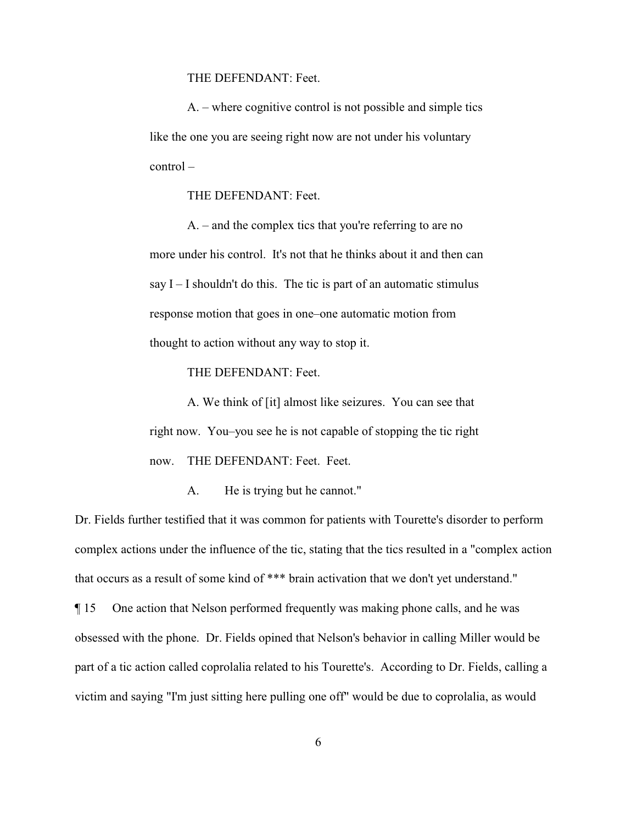THE DEFENDANT: Feet.

A. – where cognitive control is not possible and simple tics like the one you are seeing right now are not under his voluntary control –

THE DEFENDANT: Feet.

A. – and the complex tics that you're referring to are no more under his control. It's not that he thinks about it and then can say  $I - I$  shouldn't do this. The tic is part of an automatic stimulus response motion that goes in one–one automatic motion from thought to action without any way to stop it.

THE DEFENDANT: Feet.

A. We think of [it] almost like seizures. You can see that right now. You–you see he is not capable of stopping the tic right now. THE DEFENDANT: Feet. Feet.

A. He is trying but he cannot."

Dr. Fields further testified that it was common for patients with Tourette's disorder to perform complex actions under the influence of the tic, stating that the tics resulted in a "complex action that occurs as a result of some kind of \*\*\* brain activation that we don't yet understand." ¶ 15 One action that Nelson performed frequently was making phone calls, and he was obsessed with the phone. Dr. Fields opined that Nelson's behavior in calling Miller would be part of a tic action called coprolalia related to his Tourette's. According to Dr. Fields, calling a

victim and saying "I'm just sitting here pulling one off" would be due to coprolalia, as would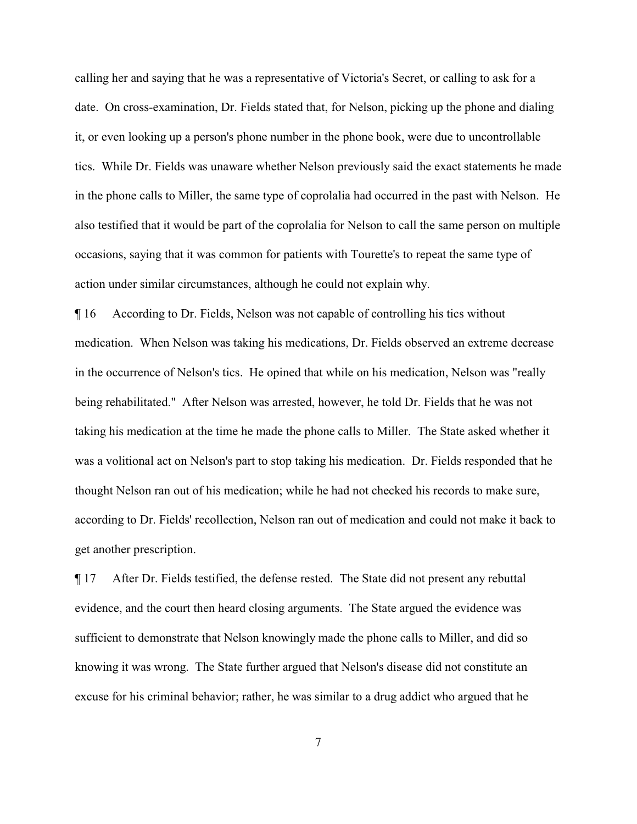calling her and saying that he was a representative of Victoria's Secret, or calling to ask for a date. On cross-examination, Dr. Fields stated that, for Nelson, picking up the phone and dialing it, or even looking up a person's phone number in the phone book, were due to uncontrollable tics. While Dr. Fields was unaware whether Nelson previously said the exact statements he made in the phone calls to Miller, the same type of coprolalia had occurred in the past with Nelson. He also testified that it would be part of the coprolalia for Nelson to call the same person on multiple occasions, saying that it was common for patients with Tourette's to repeat the same type of action under similar circumstances, although he could not explain why.

¶ 16 According to Dr. Fields, Nelson was not capable of controlling his tics without medication. When Nelson was taking his medications, Dr. Fields observed an extreme decrease in the occurrence of Nelson's tics. He opined that while on his medication, Nelson was "really being rehabilitated." After Nelson was arrested, however, he told Dr. Fields that he was not taking his medication at the time he made the phone calls to Miller. The State asked whether it was a volitional act on Nelson's part to stop taking his medication. Dr. Fields responded that he thought Nelson ran out of his medication; while he had not checked his records to make sure, according to Dr. Fields' recollection, Nelson ran out of medication and could not make it back to get another prescription.

¶ 17 After Dr. Fields testified, the defense rested. The State did not present any rebuttal evidence, and the court then heard closing arguments. The State argued the evidence was sufficient to demonstrate that Nelson knowingly made the phone calls to Miller, and did so knowing it was wrong. The State further argued that Nelson's disease did not constitute an excuse for his criminal behavior; rather, he was similar to a drug addict who argued that he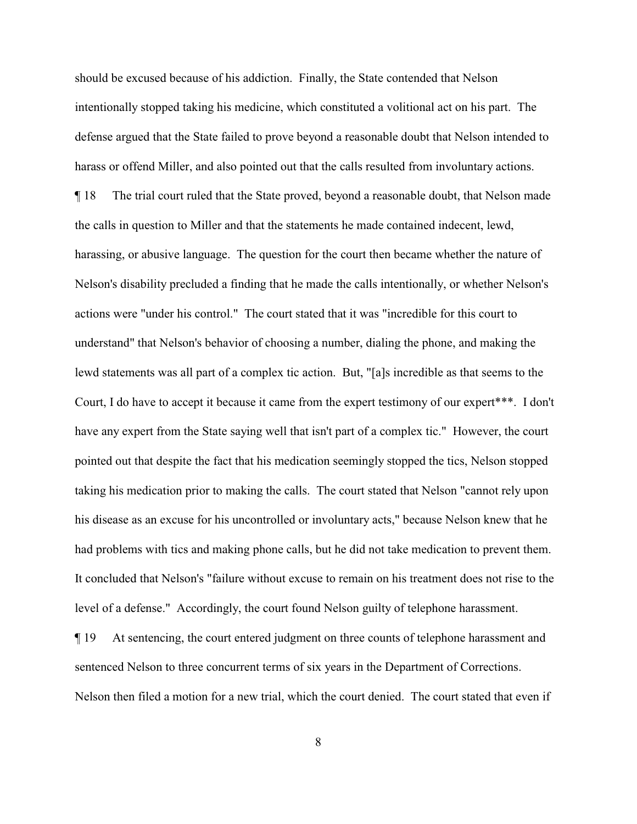should be excused because of his addiction. Finally, the State contended that Nelson intentionally stopped taking his medicine, which constituted a volitional act on his part. The defense argued that the State failed to prove beyond a reasonable doubt that Nelson intended to harass or offend Miller, and also pointed out that the calls resulted from involuntary actions. ¶ 18 The trial court ruled that the State proved, beyond a reasonable doubt, that Nelson made the calls in question to Miller and that the statements he made contained indecent, lewd, harassing, or abusive language. The question for the court then became whether the nature of Nelson's disability precluded a finding that he made the calls intentionally, or whether Nelson's actions were "under his control." The court stated that it was "incredible for this court to understand" that Nelson's behavior of choosing a number, dialing the phone, and making the lewd statements was all part of a complex tic action. But, "[a]s incredible as that seems to the Court, I do have to accept it because it came from the expert testimony of our expert\*\*\*. I don't have any expert from the State saying well that isn't part of a complex tic." However, the court pointed out that despite the fact that his medication seemingly stopped the tics, Nelson stopped taking his medication prior to making the calls. The court stated that Nelson "cannot rely upon his disease as an excuse for his uncontrolled or involuntary acts," because Nelson knew that he had problems with tics and making phone calls, but he did not take medication to prevent them. It concluded that Nelson's "failure without excuse to remain on his treatment does not rise to the level of a defense." Accordingly, the court found Nelson guilty of telephone harassment.

¶ 19 At sentencing, the court entered judgment on three counts of telephone harassment and sentenced Nelson to three concurrent terms of six years in the Department of Corrections. Nelson then filed a motion for a new trial, which the court denied. The court stated that even if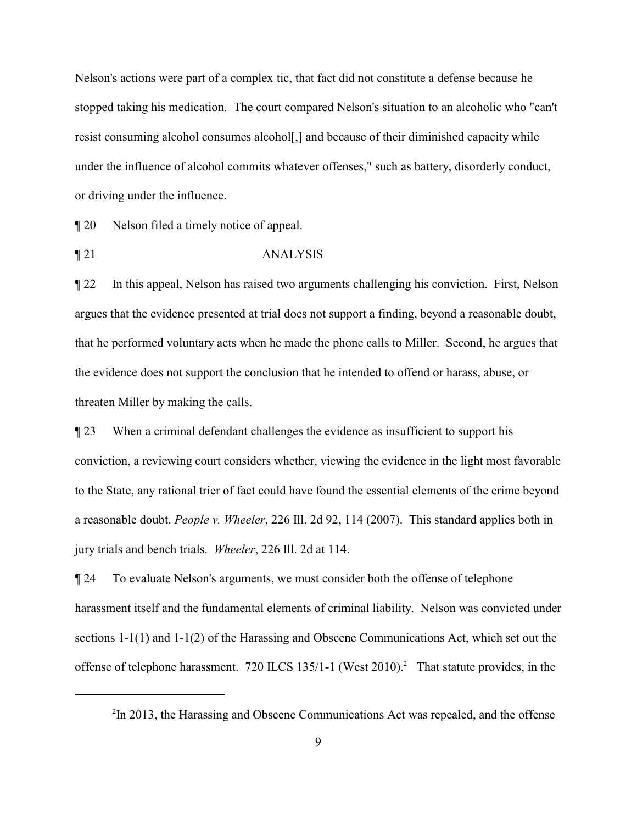Nelson's actions were part of a complex tic, that fact did not constitute a defense because he stopped taking his medication. The court compared Nelson's situation to an alcoholic who "can't resist consuming alcohol consumes alcohol[,] and because of their diminished capacity while under the influence of alcohol commits whatever offenses," such as battery, disorderly conduct, or driving under the influence.

¶ 20 Nelson filed a timely notice of appeal.

¶ 21 ANALYSIS

¶ 22 In this appeal, Nelson has raised two arguments challenging his conviction. First, Nelson argues that the evidence presented at trial does not support a finding, beyond a reasonable doubt, that he performed voluntary acts when he made the phone calls to Miller. Second, he argues that the evidence does not support the conclusion that he intended to offend or harass, abuse, or threaten Miller by making the calls.

¶ 23 When a criminal defendant challenges the evidence as insufficient to support his conviction, a reviewing court considers whether, viewing the evidence in the light most favorable to the State, any rational trier of fact could have found the essential elements of the crime beyond a reasonable doubt. *People v. Wheeler*, 226 Ill. 2d 92, 114 (2007). This standard applies both in jury trials and bench trials. *Wheeler*, 226 Ill. 2d at 114.

¶ 24 To evaluate Nelson's arguments, we must consider both the offense of telephone harassment itself and the fundamental elements of criminal liability. Nelson was convicted under sections 1-1(1) and 1-1(2) of the Harassing and Obscene Communications Act, which set out the offense of telephone harassment. 720 ILCS 135/1-1 (West 2010).<sup>2</sup> That statute provides, in the

 $2$ In 2013, the Harassing and Obscene Communications Act was repealed, and the offense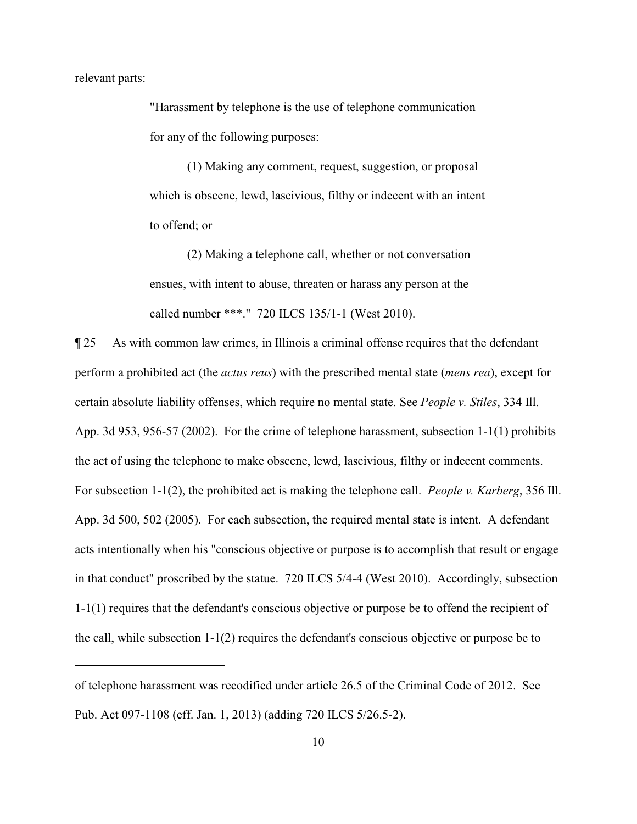relevant parts:

"Harassment by telephone is the use of telephone communication for any of the following purposes:

(1) Making any comment, request, suggestion, or proposal which is obscene, lewd, lascivious, filthy or indecent with an intent to offend; or

(2) Making a telephone call, whether or not conversation ensues, with intent to abuse, threaten or harass any person at the called number \*\*\*." 720 ILCS 135/1-1 (West 2010).

¶ 25 As with common law crimes, in Illinois a criminal offense requires that the defendant perform a prohibited act (the *actus reus*) with the prescribed mental state (*mens rea*), except for certain absolute liability offenses, which require no mental state. See *People v. Stiles*, 334 Ill. App. 3d 953, 956-57 (2002). For the crime of telephone harassment, subsection 1-1(1) prohibits the act of using the telephone to make obscene, lewd, lascivious, filthy or indecent comments. For subsection 1-1(2), the prohibited act is making the telephone call. *People v. Karberg*, 356 Ill. App. 3d 500, 502 (2005). For each subsection, the required mental state is intent. A defendant acts intentionally when his "conscious objective or purpose is to accomplish that result or engage in that conduct" proscribed by the statue. 720 ILCS 5/4-4 (West 2010). Accordingly, subsection 1-1(1) requires that the defendant's conscious objective or purpose be to offend the recipient of the call, while subsection 1-1(2) requires the defendant's conscious objective or purpose be to

of telephone harassment was recodified under article 26.5 of the Criminal Code of 2012. See Pub. Act 097-1108 (eff. Jan. 1, 2013) (adding 720 ILCS 5/26.5-2).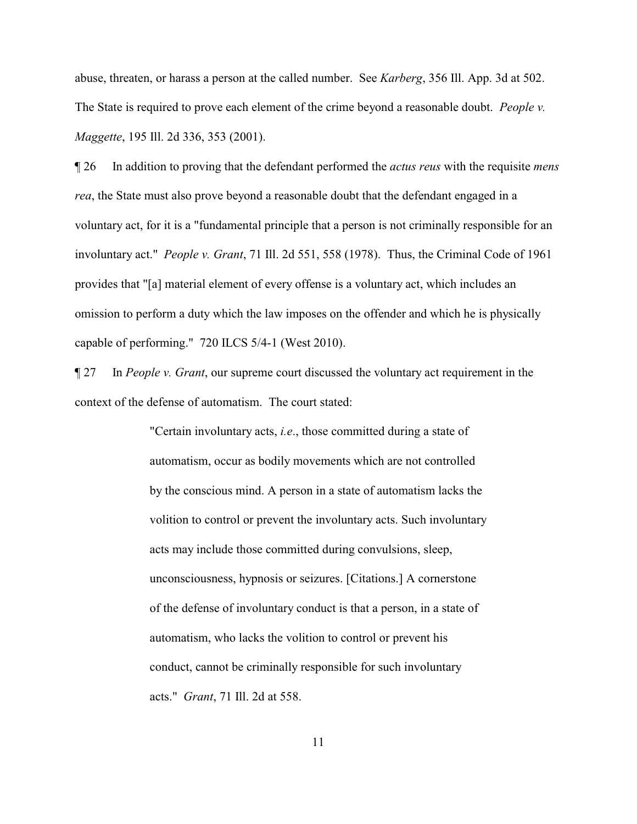abuse, threaten, or harass a person at the called number. See *Karberg*, 356 Ill. App. 3d at 502. The State is required to prove each element of the crime beyond a reasonable doubt. *People v. Maggette*, 195 Ill. 2d 336, 353 (2001).

¶ 26 In addition to proving that the defendant performed the *actus reus* with the requisite *mens rea*, the State must also prove beyond a reasonable doubt that the defendant engaged in a voluntary act, for it is a "fundamental principle that a person is not criminally responsible for an involuntary act." *People v. Grant*, 71 Ill. 2d 551, 558 (1978). Thus, the Criminal Code of 1961 provides that "[a] material element of every offense is a voluntary act, which includes an omission to perform a duty which the law imposes on the offender and which he is physically capable of performing." 720 ILCS 5/4-1 (West 2010).

¶ 27 In *People v. Grant*, our supreme court discussed the voluntary act requirement in the context of the defense of automatism. The court stated:

> "Certain involuntary acts, *i.e*., those committed during a state of automatism, occur as bodily movements which are not controlled by the conscious mind. A person in a state of automatism lacks the volition to control or prevent the involuntary acts. Such involuntary acts may include those committed during convulsions, sleep, unconsciousness, hypnosis or seizures. [Citations.] A cornerstone of the defense of involuntary conduct is that a person, in a state of automatism, who lacks the volition to control or prevent his conduct, cannot be criminally responsible for such involuntary acts." *Grant*, 71 Ill. 2d at 558.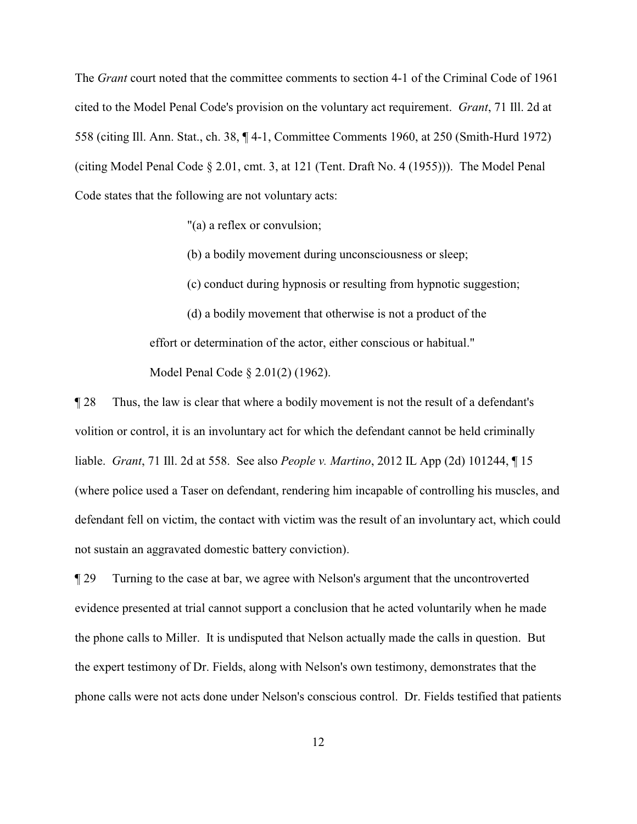The *Grant* court noted that the committee comments to section 4-1 of the Criminal Code of 1961 cited to the Model Penal Code's provision on the voluntary act requirement. *Grant*, 71 Ill. 2d at 558 (citing Ill. Ann. Stat., ch. 38, ¶ 4-1, Committee Comments 1960, at 250 (Smith-Hurd 1972) (citing Model Penal Code § 2.01, cmt. 3, at 121 (Tent. Draft No. 4 (1955))). The Model Penal Code states that the following are not voluntary acts:

"(a) a reflex or convulsion;

(b) a bodily movement during unconsciousness or sleep;

(c) conduct during hypnosis or resulting from hypnotic suggestion;

(d) a bodily movement that otherwise is not a product of the effort or determination of the actor, either conscious or habitual." Model Penal Code § 2.01(2) (1962).

¶ 28 Thus, the law is clear that where a bodily movement is not the result of a defendant's volition or control, it is an involuntary act for which the defendant cannot be held criminally liable. *Grant*, 71 Ill. 2d at 558. See also *People v. Martino*, 2012 IL App (2d) 101244, ¶ 15 (where police used a Taser on defendant, rendering him incapable of controlling his muscles, and defendant fell on victim, the contact with victim was the result of an involuntary act, which could not sustain an aggravated domestic battery conviction).

¶ 29 Turning to the case at bar, we agree with Nelson's argument that the uncontroverted evidence presented at trial cannot support a conclusion that he acted voluntarily when he made the phone calls to Miller. It is undisputed that Nelson actually made the calls in question. But the expert testimony of Dr. Fields, along with Nelson's own testimony, demonstrates that the phone calls were not acts done under Nelson's conscious control. Dr. Fields testified that patients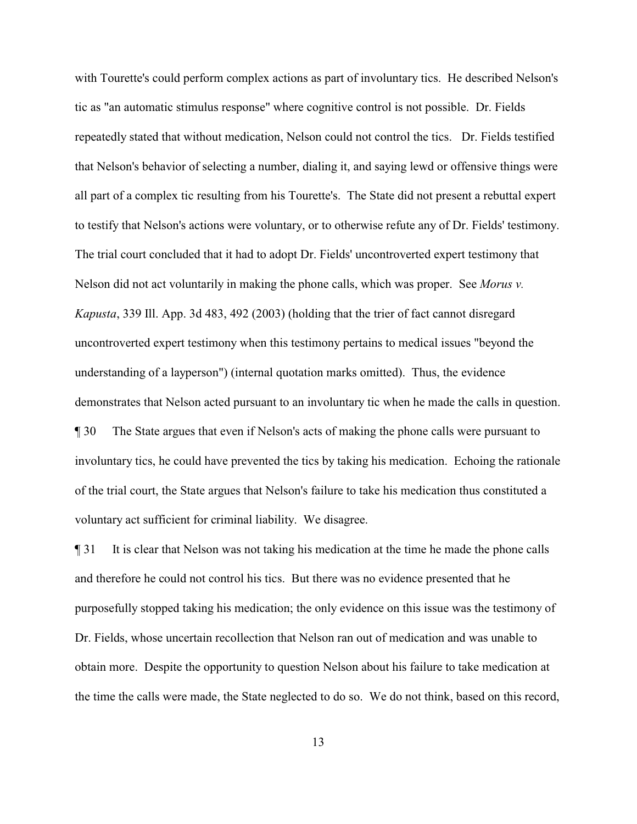with Tourette's could perform complex actions as part of involuntary tics. He described Nelson's tic as "an automatic stimulus response" where cognitive control is not possible. Dr. Fields repeatedly stated that without medication, Nelson could not control the tics. Dr. Fields testified that Nelson's behavior of selecting a number, dialing it, and saying lewd or offensive things were all part of a complex tic resulting from his Tourette's. The State did not present a rebuttal expert to testify that Nelson's actions were voluntary, or to otherwise refute any of Dr. Fields' testimony. The trial court concluded that it had to adopt Dr. Fields' uncontroverted expert testimony that Nelson did not act voluntarily in making the phone calls, which was proper. See *Morus v. Kapusta*, 339 Ill. App. 3d 483, 492 (2003) (holding that the trier of fact cannot disregard uncontroverted expert testimony when this testimony pertains to medical issues "beyond the understanding of a layperson") (internal quotation marks omitted). Thus, the evidence demonstrates that Nelson acted pursuant to an involuntary tic when he made the calls in question. ¶ 30 The State argues that even if Nelson's acts of making the phone calls were pursuant to involuntary tics, he could have prevented the tics by taking his medication. Echoing the rationale of the trial court, the State argues that Nelson's failure to take his medication thus constituted a

voluntary act sufficient for criminal liability. We disagree.

¶ 31 It is clear that Nelson was not taking his medication at the time he made the phone calls and therefore he could not control his tics. But there was no evidence presented that he purposefully stopped taking his medication; the only evidence on this issue was the testimony of Dr. Fields, whose uncertain recollection that Nelson ran out of medication and was unable to obtain more. Despite the opportunity to question Nelson about his failure to take medication at the time the calls were made, the State neglected to do so. We do not think, based on this record,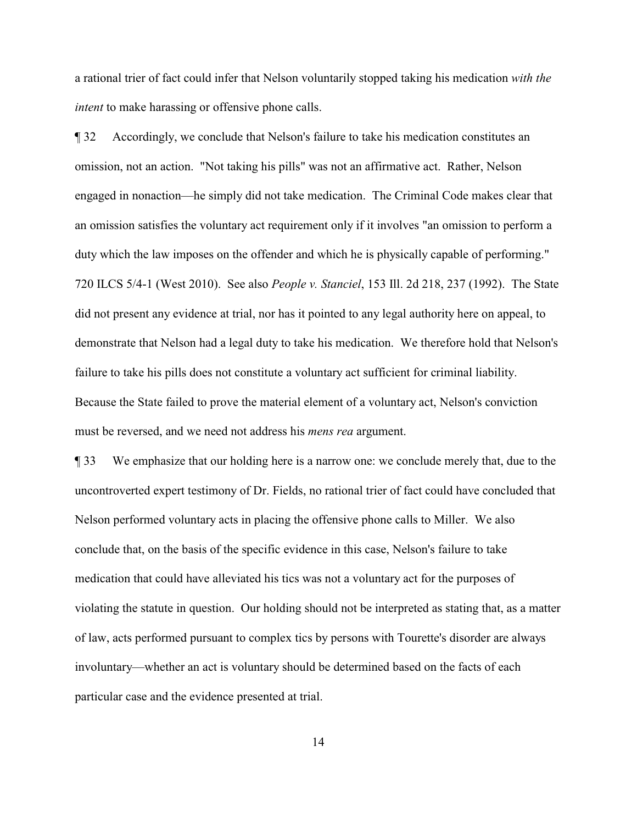a rational trier of fact could infer that Nelson voluntarily stopped taking his medication *with the intent* to make harassing or offensive phone calls.

¶ 32 Accordingly, we conclude that Nelson's failure to take his medication constitutes an omission, not an action. "Not taking his pills" was not an affirmative act. Rather, Nelson engaged in nonaction—he simply did not take medication. The Criminal Code makes clear that an omission satisfies the voluntary act requirement only if it involves "an omission to perform a duty which the law imposes on the offender and which he is physically capable of performing." 720 ILCS 5/4-1 (West 2010). See also *People v. Stanciel*, 153 Ill. 2d 218, 237 (1992). The State did not present any evidence at trial, nor has it pointed to any legal authority here on appeal, to demonstrate that Nelson had a legal duty to take his medication. We therefore hold that Nelson's failure to take his pills does not constitute a voluntary act sufficient for criminal liability. Because the State failed to prove the material element of a voluntary act, Nelson's conviction must be reversed, and we need not address his *mens rea* argument.

¶ 33 We emphasize that our holding here is a narrow one: we conclude merely that, due to the uncontroverted expert testimony of Dr. Fields, no rational trier of fact could have concluded that Nelson performed voluntary acts in placing the offensive phone calls to Miller. We also conclude that, on the basis of the specific evidence in this case, Nelson's failure to take medication that could have alleviated his tics was not a voluntary act for the purposes of violating the statute in question. Our holding should not be interpreted as stating that, as a matter of law, acts performed pursuant to complex tics by persons with Tourette's disorder are always involuntary—whether an act is voluntary should be determined based on the facts of each particular case and the evidence presented at trial.